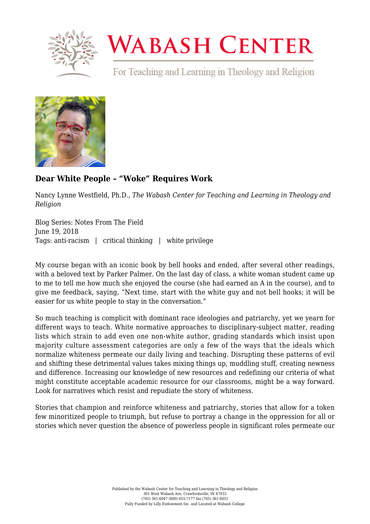

## **WABASH CENTER**

For Teaching and Learning in Theology and Religion



## **[Dear White People – "Woke" Requires Work](https://www.wabashcenter.wabash.edu/2018/06/dear-white-people-woke-requires-work/)**

Nancy Lynne Westfield, Ph.D., *The Wabash Center for Teaching and Learning in Theology and Religion*

Blog Series: Notes From The Field June 19, 2018 Tags: anti-racism | critical thinking | white privilege

My course began with an iconic book by bell hooks and ended, after several other readings, with a beloved text by Parker Palmer. On the last day of class, a white woman student came up to me to tell me how much she enjoyed the course (she had earned an A in the course), and to give me feedback, saying, "Next time, start with the white guy and not bell hooks; it will be easier for us white people to stay in the conversation."

So much teaching is complicit with dominant race ideologies and patriarchy, yet we yearn for different ways to teach. White normative approaches to disciplinary-subject matter, reading lists which strain to add even one non-white author, grading standards which insist upon majority culture assessment categories are only a few of the ways that the ideals which normalize whiteness permeate our daily living and teaching. Disrupting these patterns of evil and shifting these detrimental values takes mixing things up, muddling stuff, creating newness and difference. Increasing our knowledge of new resources and redefining our criteria of what might constitute acceptable academic resource for our classrooms, might be a way forward. Look for narratives which resist and repudiate the story of whiteness.

Stories that champion and reinforce whiteness and patriarchy, stories that allow for a token few minoritized people to triumph, but refuse to portray a change in the oppression for all or stories which never question the absence of powerless people in significant roles permeate our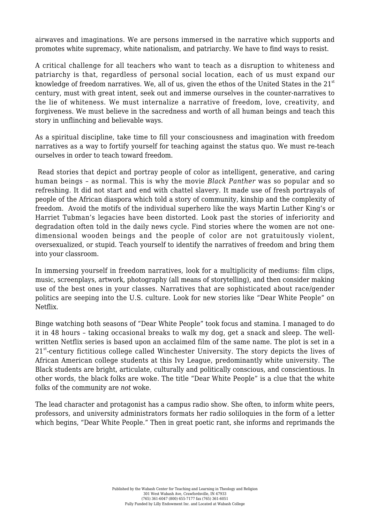airwaves and imaginations. We are persons immersed in the narrative which supports and promotes white supremacy, white nationalism, and patriarchy. We have to find ways to resist.

A critical challenge for all teachers who want to teach as a disruption to whiteness and patriarchy is that, regardless of personal social location, each of us must expand our knowledge of freedom narratives. We, all of us, given the ethos of the United States in the  $21<sup>st</sup>$ century, must with great intent, seek out and immerse ourselves in the counter-narratives to the lie of whiteness. We must internalize a narrative of freedom, love, creativity, and forgiveness. We must believe in the sacredness and worth of all human beings and teach this story in unflinching and believable ways.

As a spiritual discipline, take time to fill your consciousness and imagination with freedom narratives as a way to fortify yourself for teaching against the status quo. We must re-teach ourselves in order to teach toward freedom.

 Read stories that depict and portray people of color as intelligent, generative, and caring human beings – as normal. This is why the movie *Black Panther* was so popular and so refreshing. It did not start and end with chattel slavery. It made use of fresh portrayals of people of the African diaspora which told a story of community, kinship and the complexity of freedom. Avoid the motifs of the individual superhero like the ways Martin Luther King's or Harriet Tubman's legacies have been distorted. Look past the stories of inferiority and degradation often told in the daily news cycle. Find stories where the women are not onedimensional wooden beings and the people of color are not gratuitously violent, oversexualized, or stupid. Teach yourself to identify the narratives of freedom and bring them into your classroom.

In immersing yourself in freedom narratives, look for a multiplicity of mediums: film clips, music, screenplays, artwork, photography (all means of storytelling), and then consider making use of the best ones in your classes. Narratives that are sophisticated about race/gender politics are seeping into the U.S. culture. Look for new stories like "Dear White People" on Netflix.

Binge watching both seasons of "Dear White People" took focus and stamina. I managed to do it in 48 hours – taking occasional breaks to walk my dog, get a snack and sleep. The wellwritten Netflix series is based upon an acclaimed film of the same name. The plot is set in a  $21<sup>st</sup>$ -century fictitious college called Winchester University. The story depicts the lives of African American college students at this Ivy League, predominantly white university. The Black students are bright, articulate, culturally and politically conscious, and conscientious. In other words, the black folks are woke. The title "Dear White People" is a clue that the white folks of the community are *not* woke.

The lead character and protagonist has a campus radio show. She often, to inform white peers, professors, and university administrators formats her radio soliloquies in the form of a letter which begins, "Dear White People." Then in great poetic rant, she informs and reprimands the